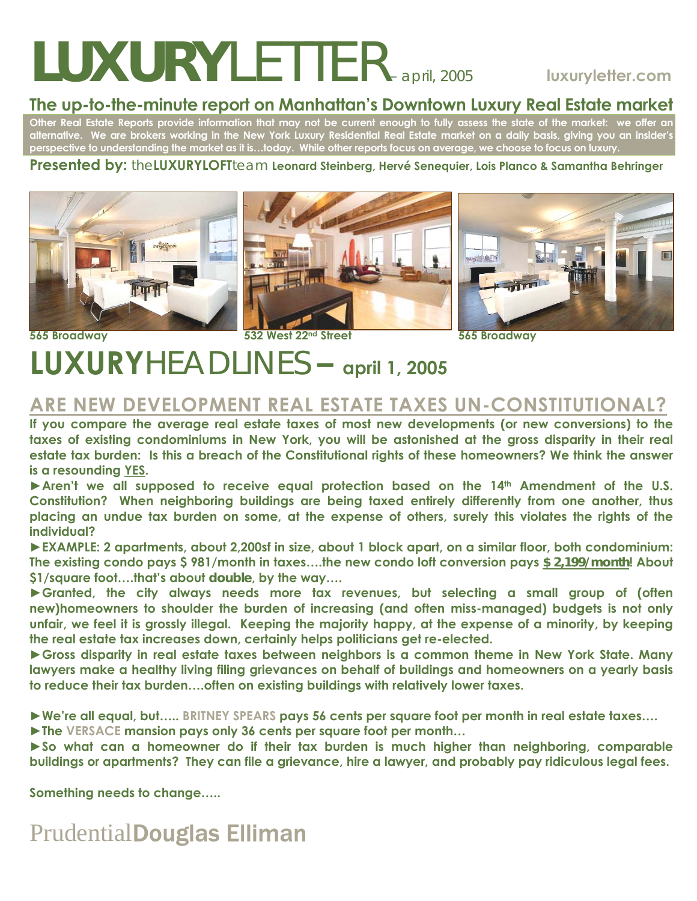# *LUXURYLETTER– april, 2005* **luxuryletter.com**

#### **The up-to-the-minute report on Manhattan's Downtown Luxury Real Estate market**

**Other Real Estate Reports provide information that may not be current enough to fully assess the state of the market: we offer an alternative. We are brokers working in the New York Luxury Residential Real Estate market on a daily basis, giving you an insider's perspective to understanding the market as it is…today. While other reports focus on average, we choose to focus on luxury.** 

#### **Presented by:** the**LUXURYLOFT**team **Leonard Steinberg, Hervé Senequier, Lois Planco & Samantha Behringer**







**565 Broadway 532 West 22nd Street 565 Broadway** 

## **LUXURY***HEADLINES* **– april 1, 2005**

#### **ARE NEW DEVELOPMENT REAL ESTATE TAXES UN-CONSTITUTIONAL?**

**If you compare the average real estate taxes of most new developments (or new conversions) to the taxes of existing condominiums in New York, you will be astonished at the gross disparity in their real estate tax burden: Is this a breach of the Constitutional rights of these homeowners? We think the answer is a resounding YES.** 

► Aren't we all supposed to receive equal protection based on the 14<sup>th</sup> Amendment of the U.S. **Constitution? When neighboring buildings are being taxed entirely differently from one another, thus placing an undue tax burden on some, at the expense of others, surely this violates the rights of the individual?** 

**►EXAMPLE: 2 apartments, about 2,200sf in size, about 1 block apart, on a similar floor, both condominium: The existing condo pays \$ 981/month in taxes….the new condo loft conversion pays** *\$ 2,199/month***! About \$1/square foot….that's about** *double***, by the way….** 

**►Granted, the city always needs more tax revenues, but selecting a small group of (often new)homeowners to shoulder the burden of increasing (and often miss-managed) budgets is not only unfair, we feel it is grossly illegal. Keeping the majority happy, at the expense of a minority, by keeping the real estate tax increases down, certainly helps politicians get re-elected.** 

► Gross disparity in real estate taxes between neighbors is a common theme in New York State. Many **lawyers make a healthy living filing grievances on behalf of buildings and homeowners on a yearly basis to reduce their tax burden….often on existing buildings with relatively lower taxes.** 

**►We're all equal, but….. BRITNEY SPEARS pays 56 cents per square foot per month in real estate taxes….**

**►The VERSACE mansion pays only 36 cents per square foot per month…** 

**►So what can a homeowner do if their tax burden is much higher than neighboring, comparable buildings or apartments? They can file a grievance, hire a lawyer, and probably pay ridiculous legal fees.** 

**Something needs to change…..**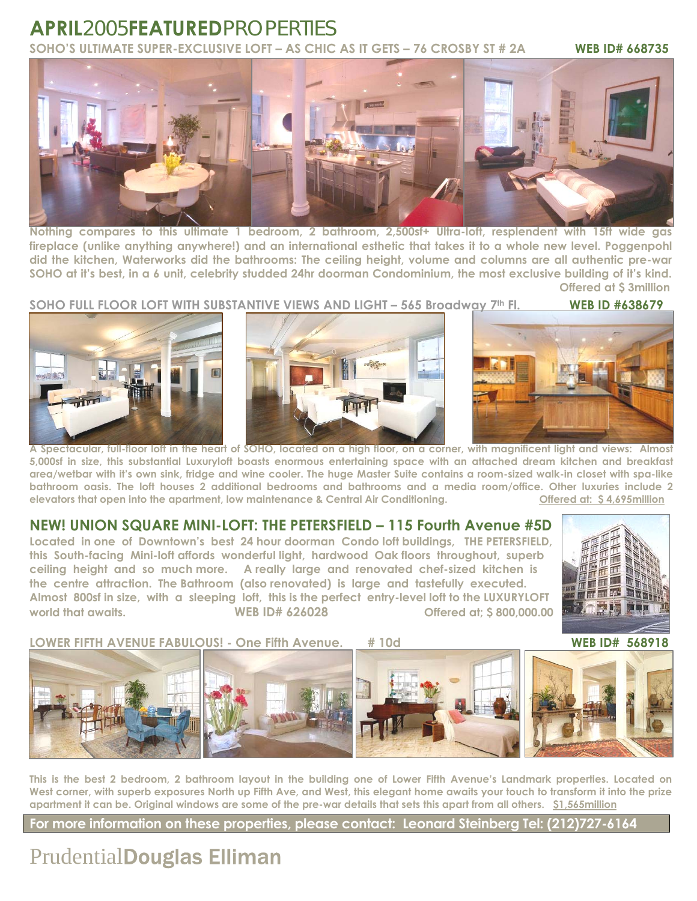#### **APRIL***2005***FEATURED***PROPERTIES* **SOHO'S ULTIMATE SUPER-EXCLUSIVE LOFT – AS CHIC AS IT GETS – 76 CROSBY ST # 2A WEB ID# 668735**



**Nothing compares to this ultimate 1 bedroom, 2 bathroom, 2,500sf+ Ultra-loft, resplendent with 15ft wide gas fireplace (unlike anything anywhere!) and an international esthetic that takes it to a whole new level. Poggenpohl did the kitchen, Waterworks did the bathrooms: The ceiling height, volume and columns are all authentic pre-war SOHO at it's best, in a 6 unit, celebrity studded 24hr doorman Condominium, the most exclusive building of it's kind. Offered at \$ 3million** 

**SOHO FULL FLOOR LOFT WITH SUBSTANTIVE VIEWS AND LIGHT – 565 Broadway 7th Fl. WEB ID #638679**







**A Spectacular, full-floor loft in the heart of SOHO, located on a high floor, on a corner, with magnificent light and views: Almost 5,000sf in size, this substantial Luxuryloft boasts enormous entertaining space with an attached dream kitchen and breakfast area/wetbar with it's own sink, fridge and wine cooler. The huge Master Suite contains a room-sized walk-in closet with spa-like bathroom oasis. The loft houses 2 additional bedrooms and bathrooms and a media room/office. Other luxuries include 2 elevators that open into the apartment, low maintenance & Central Air Conditioning. Offered at: \$ 4,695million**

#### **NEW! UNION SQUARE MINI-LOFT: THE PETERSFIELD – 115 Fourth Avenue #5D**

**Located in one of Downtown's best 24 hour doorman Condo loft buildings, THE PETERSFIELD, this South-facing Mini-loft affords wonderful light, hardwood Oak floors throughout, superb ceiling height and so much more. A really large and renovated chef-sized kitchen is the centre attraction. The Bathroom (also renovated) is large and tastefully executed. Almost 800sf in size, with a sleeping loft, this is the perfect entry-level loft to the LUXURYLOFT world that awaits. WEB ID# 626028 Offered at; \$ 800,000.00** 



**LOWER FIFTH AVENUE FABULOUS! - One Fifth Avenue. # 10d WEB ID# 568918** 

 

**This is the best 2 bedroom, 2 bathroom layout in the building one of Lower Fifth Avenue's Landmark properties. Located on**  West corner, with superb exposures North up Fifth Ave, and West, this elegant home awaits your touch to transform it into the prize **apartment it can be. Original windows are some of the pre-war details that sets this apart from all others. \$1,565million** 

**For more information on these properties, please contact: Leonard Steinberg Tel: (212)727-6164**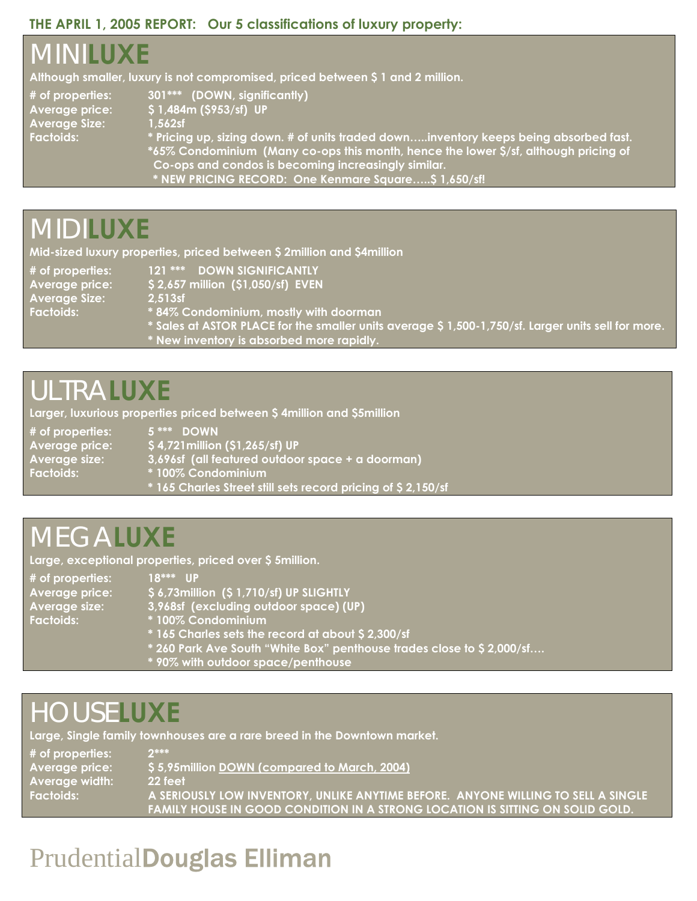#### **THE APRIL 1, 2005 REPORT: Our 5 classifications of luxury property:**

## *MINI***LUXE**

**Although smaller, luxury is not compromised, priced between \$ 1 and 2 million.** 

**Average Size: 1,562sf** 

**# of properties: 301\*\*\* (DOWN, significantly) Average price: \$ 1,484m (\$953/sf) UP** 

Factoids: **The Conting of the State of Unity of Units traded down.....inventory keeps being absorbed fast. \*65% Condominium (Many co-ops this month, hence the lower \$/sf, although pricing of Co-ops and condos is becoming increasingly similar. \* NEW PRICING RECORD: One Kenmare Square…..\$ 1,650/sf!** 

### *MIDI***LUXE**

**Mid-sized luxury properties, priced between \$ 2million and \$4million** 

**Average Size: 2,513sf** 

**# of properties: 121 \*\*\* DOWN SIGNIFICANTLY Average price: \$ 2,657 million (\$1,050/sf) EVEN** 

**Factoids: \* 84% Condominium, mostly with doorman** 

- **\* Sales at ASTOR PLACE for the smaller units average \$ 1,500-1,750/sf. Larger units sell for more.**
- **\* New inventory is absorbed more rapidly.**

### *ULTRA***LUXE**

**Larger, luxurious properties priced between \$ 4million and \$5million** 

**# of properties: 5 \*\*\* DOWN** 

**Average price: \$ 4,721million (\$1,265/sf) UP** 

**Average size: 3,696sf (all featured outdoor space + a doorman)** 

- **Factoids: \* 100% Condominium** 
	- **\* 165 Charles Street still sets record pricing of \$ 2,150/sf**

### *MEGA***LUXE**

**Large, exceptional properties, priced over \$ 5million.** 

| $#$ of properties: | $18***$ IIP                                          |
|--------------------|------------------------------------------------------|
| Average price:     | \$6,73million (\$1,710/sf) UP SLIGHTLY               |
| Average size:      | $\mid$ 3,968sf (excluding outdoor space) (UP) $\mid$ |
| <b>Factoids:</b>   | <sup>*</sup> 100% Condominium                        |
|                    | *165 Charles sets the record at about \$2,300/sf     |
|                    |                                                      |

- **\* 260 Park Ave South "White Box" penthouse trades close to \$ 2,000/sf….**
- **\* 90% with outdoor space/penthouse**

### *HOUSE***LUXE**

**Large, Single family townhouses are a rare breed in the Downtown market.** 

| $#$ of properties:    | $2***$                                                                              |
|-----------------------|-------------------------------------------------------------------------------------|
| Average price:        | \$5,95 million DOWN (compared to March, 2004)                                       |
| <b>Average width:</b> | 22 feet                                                                             |
| Factoids:             | A SERIOUSLY LOW INVENTORY, UNLIKE ANYTIME BEFORE. ANYONE WILLING TO SELL A SINGLE A |
|                       | FAMILY HOUSE IN GOOD CONDITION IN A STRONG LOCATION IS SITTING ON SOLID GOLD.       |